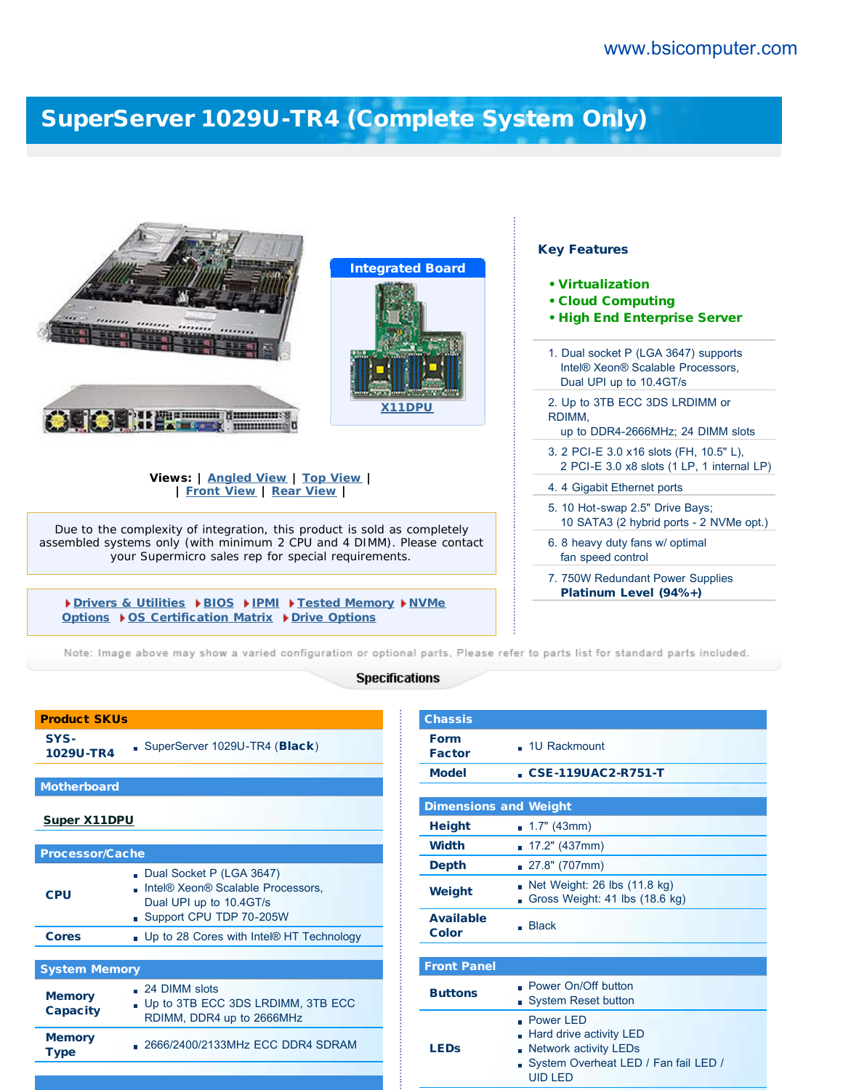## [SuperServer 1029U-TR4 \(Complete System Only\)](http://www.bsicomputer.com/products/1029u-tr4-16159)

|                                                                                                                               | <b>Key Features</b><br><b>Integrated Board</b><br>• Virtualization<br><b>• Cloud Computing</b><br>. High End Enterprise Server<br>1. Dual socket P (LGA 3647) supports |
|-------------------------------------------------------------------------------------------------------------------------------|------------------------------------------------------------------------------------------------------------------------------------------------------------------------|
|                                                                                                                               | Intel® Xeon® Scalable Processors.<br>Dual UPI up to 10.4GT/s                                                                                                           |
| <b>Constitution of Community</b><br>-------------                                                                             | 2. Up to 3TB ECC 3DS LRDIMM or<br>X11DPU<br>RDIMM,<br>up to DDR4-2666MHz; 24 DIMM slots                                                                                |
|                                                                                                                               | 3. 2 PCI-E 3.0 x16 slots (FH, 10.5" L),<br>2 PCI-E 3.0 x8 slots (1 LP, 1 internal LP)                                                                                  |
| Views:   Angled View   Top View  <br><b>Front View   Rear View  </b>                                                          | 4.4 Gigabit Ethernet ports                                                                                                                                             |
| Due to the complexity of integration, this product is sold as completely                                                      | 5. 10 Hot-swap 2.5" Drive Bays;<br>10 SATA3 (2 hybrid ports - 2 NVMe opt.)                                                                                             |
| assembled systems only (with minimum 2 CPU and 4 DIMM). Please contact<br>your Supermicro sales rep for special requirements. | 6. 8 heavy duty fans w/ optimal<br>fan speed control                                                                                                                   |
|                                                                                                                               | 7. 750W Redundant Power Supplies                                                                                                                                       |
| Drivers & Utilities DBIOS DIPMI DTested Memory DNVMe<br>Options ▶ OS Certification Matrix ▶ Drive Options                     | Platinum Level (94%+)                                                                                                                                                  |

Note: Image above may show a varied configuration or optional parts, Please refer to parts list for standard parts included.

## **Specifications**

| <b>Product SKUs</b>              |                                                                                                                     |  |  |  |
|----------------------------------|---------------------------------------------------------------------------------------------------------------------|--|--|--|
| SYS-<br>1029U-TR4                | SuperServer 1029U-TR4 (Black)                                                                                       |  |  |  |
|                                  |                                                                                                                     |  |  |  |
| <b>Motherboard</b>               |                                                                                                                     |  |  |  |
| <b>Super X11DPU</b>              |                                                                                                                     |  |  |  |
|                                  |                                                                                                                     |  |  |  |
| <b>Processor/Cache</b>           |                                                                                                                     |  |  |  |
| CPU                              | Dual Socket P (LGA 3647)<br>Intel® Xeon® Scalable Processors,<br>Dual UPI up to 10.4GT/s<br>Support CPU TDP 70-205W |  |  |  |
| <b>Cores</b>                     | . Up to 28 Cores with Intel® HT Technology                                                                          |  |  |  |
|                                  |                                                                                                                     |  |  |  |
| <b>System Memory</b>             |                                                                                                                     |  |  |  |
| <b>Memory</b><br><b>Capacity</b> | $\Box$ 24 DIMM slots<br>Up to 3TB ECC 3DS LRDIMM, 3TB ECC<br>RDIMM, DDR4 up to 2666MHz                              |  |  |  |
| <b>Memory</b><br>Type            | . 2666/2400/2133MHz ECC DDR4 SDRAM                                                                                  |  |  |  |

| <b>Chassis</b>               |                                                                                                                                        |
|------------------------------|----------------------------------------------------------------------------------------------------------------------------------------|
| <b>Form</b><br><b>Factor</b> | $-1U$ Rackmount                                                                                                                        |
| <b>Model</b>                 | <b>CSE-119UAC2-R751-T</b>                                                                                                              |
|                              |                                                                                                                                        |
| <b>Dimensions and Weight</b> |                                                                                                                                        |
| <b>Height</b>                | $\blacksquare$ 1.7" (43mm)                                                                                                             |
| <b>Width</b>                 | 17.2" (437mm)<br>m.                                                                                                                    |
| Depth                        | 27.8" (707mm)                                                                                                                          |
| Weight                       | Net Weight: 26 lbs (11.8 kg)<br>Gross Weight: 41 lbs (18.6 kg)                                                                         |
| <b>Available</b><br>Color    | <b>Black</b>                                                                                                                           |
|                              |                                                                                                                                        |
| <b>Front Panel</b>           |                                                                                                                                        |
| <b>Buttons</b>               | Power On/Off button<br><b>System Reset button</b>                                                                                      |
| <b>LEDs</b>                  | . Power LED<br>Hard drive activity LED<br><b>Network activity LEDs</b><br>m.<br>System Overheat LED / Fan fail LED /<br><b>UID LED</b> |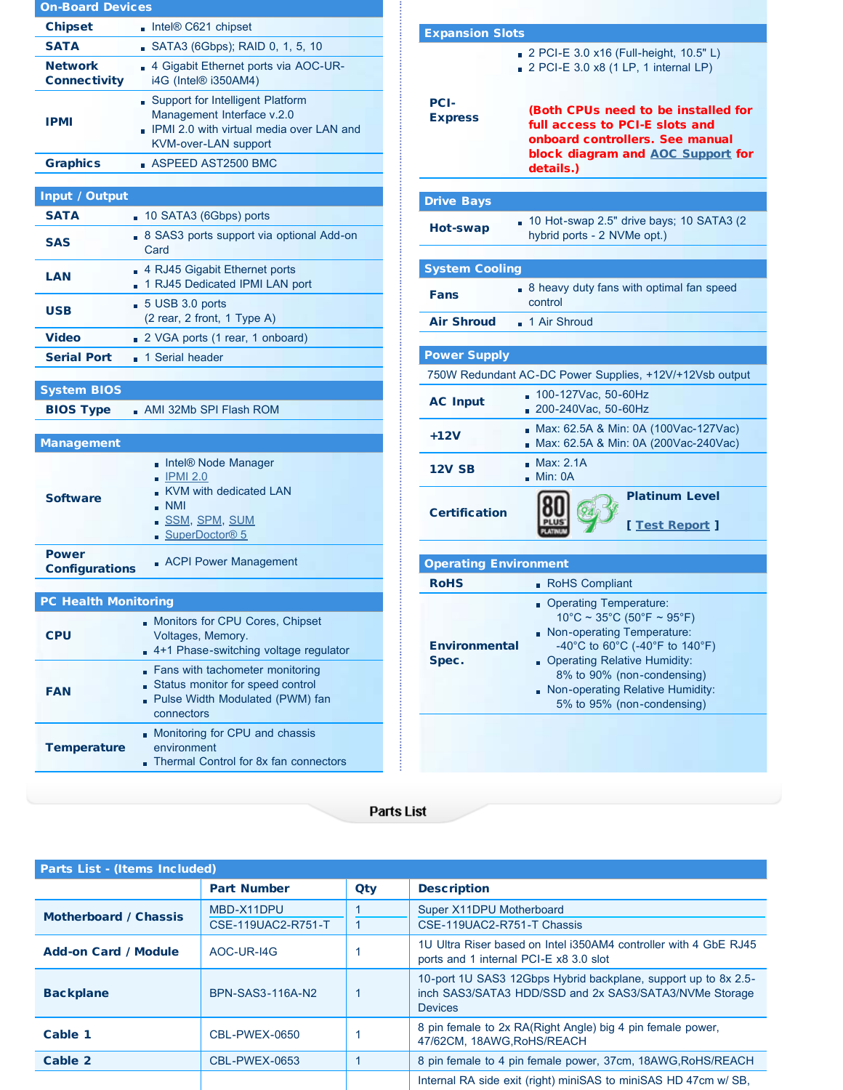| <b>On-Board Devices</b>               |                                                                                                                                           |  |  |  |
|---------------------------------------|-------------------------------------------------------------------------------------------------------------------------------------------|--|--|--|
| <b>Chipset</b>                        | Intel® C621 chipset                                                                                                                       |  |  |  |
| <b>SATA</b>                           | SATA3 (6Gbps); RAID 0, 1, 5, 10                                                                                                           |  |  |  |
| <b>Network</b><br><b>Connectivity</b> | 4 Gigabit Ethernet ports via AOC-UR-<br>i4G (Intel® i350AM4)                                                                              |  |  |  |
| <b>IPMI</b>                           | Support for Intelligent Platform<br>Management Interface v.2.0<br>IPMI 2.0 with virtual media over LAN and<br><b>KVM-over-LAN support</b> |  |  |  |
| <b>Graphics</b>                       | $\blacksquare$ ASPEED AST2500 BMC                                                                                                         |  |  |  |
|                                       |                                                                                                                                           |  |  |  |
| Input / Output                        |                                                                                                                                           |  |  |  |
| <b>SATA</b>                           | 10 SATA3 (6Gbps) ports                                                                                                                    |  |  |  |
| <b>SAS</b>                            | . 8 SAS3 ports support via optional Add-on<br>Card                                                                                        |  |  |  |
| <b>LAN</b>                            | 4 RJ45 Gigabit Ethernet ports<br>1 RJ45 Dedicated IPMI LAN port                                                                           |  |  |  |
| <b>USB</b>                            | $-5$ USB 3.0 ports<br>(2 rear, 2 front, 1 Type A)                                                                                         |  |  |  |
| <b>Video</b>                          | 2 VGA ports (1 rear, 1 onboard)                                                                                                           |  |  |  |
| <b>Serial Port</b>                    | 1 Serial header                                                                                                                           |  |  |  |
|                                       |                                                                                                                                           |  |  |  |
| <b>System BIOS</b>                    |                                                                                                                                           |  |  |  |
| <b>BIOS Type</b>                      | AMI 32Mb SPI Flash ROM                                                                                                                    |  |  |  |
| <b>Management</b>                     |                                                                                                                                           |  |  |  |
| <b>Software</b>                       | Intel® Node Manager<br><b>IPMI 2.0</b><br>KVM with dedicated LAN<br><b>NMI</b><br><u>SSM, SPM, SUM</u><br>SuperDoctor® 5                  |  |  |  |
| <b>Power</b><br><b>Configurations</b> | <b>ACPI Power Management</b>                                                                                                              |  |  |  |
| <b>PC Health Monitoring</b>           |                                                                                                                                           |  |  |  |
| <b>CPU</b>                            | Monitors for CPU Cores, Chipset<br>Voltages, Memory.<br>4+1 Phase-switching voltage regulator                                             |  |  |  |
| <b>FAN</b>                            | Fans with tachometer monitoring<br>Status monitor for speed control<br>- Pulse Width Modulated (PWM) fan<br>connectors                    |  |  |  |
|                                       |                                                                                                                                           |  |  |  |

| <b>Expansion Slots</b>        |                                                                                                                                                                                                                                                                      |  |  |  |
|-------------------------------|----------------------------------------------------------------------------------------------------------------------------------------------------------------------------------------------------------------------------------------------------------------------|--|--|--|
|                               | 2 PCI-E 3.0 x16 (Full-height, 10.5" L)<br>$2$ PCI-E 3.0 x8 (1 LP, 1 internal LP)                                                                                                                                                                                     |  |  |  |
| <b>PCI-</b><br><b>Express</b> | (Both CPUs need to be installed for<br>full access to PCI-E slots and<br>onboard controllers. See manual<br>block diagram and AOC Support for<br>details.)                                                                                                           |  |  |  |
| <b>Drive Bays</b>             |                                                                                                                                                                                                                                                                      |  |  |  |
| Hot-swap                      | 10 Hot-swap 2.5" drive bays; 10 SATA3 (2<br>hybrid ports - 2 NVMe opt.)                                                                                                                                                                                              |  |  |  |
| <b>System Cooling</b>         |                                                                                                                                                                                                                                                                      |  |  |  |
| Fans                          | . 8 heavy duty fans with optimal fan speed<br>control                                                                                                                                                                                                                |  |  |  |
| <b>Air Shroud</b>             | 1 Air Shroud                                                                                                                                                                                                                                                         |  |  |  |
| <b>Power Supply</b>           |                                                                                                                                                                                                                                                                      |  |  |  |
|                               | 750W Redundant AC-DC Power Supplies, +12V/+12Vsb output                                                                                                                                                                                                              |  |  |  |
| <b>AC Input</b>               | 100-127Vac. 50-60Hz<br>200-240Vac, 50-60Hz                                                                                                                                                                                                                           |  |  |  |
| $+12V$                        | Max: 62.5A & Min: 0A (100Vac-127Vac)<br>Max: 62.5A & Min: 0A (200Vac-240Vac)                                                                                                                                                                                         |  |  |  |
| <b>12V SB</b>                 | <b>Max: 2.1A</b><br>Min: OA                                                                                                                                                                                                                                          |  |  |  |
| <b>Certification</b>          | <b>Platinum Level</b><br>[ Test Report ]                                                                                                                                                                                                                             |  |  |  |
| <b>Operating Environment</b>  |                                                                                                                                                                                                                                                                      |  |  |  |
| <b>RoHS</b>                   | RoHS Compliant                                                                                                                                                                                                                                                       |  |  |  |
| <b>Environmental</b><br>Spec. | Operating Temperature:<br>$10^{\circ}$ C ~ 35°C (50°F ~ 95°F)<br>Non-operating Temperature:<br>-40°C to 60°C (-40°F to 140°F)<br><b>Operating Relative Humidity:</b><br>8% to 90% (non-condensing)<br>Non-operating Relative Humidity:<br>5% to 95% (non-condensing) |  |  |  |

**Parts List** 

| <b>Parts List - (Items Included)</b> |                                  |     |                                                                                                                                            |
|--------------------------------------|----------------------------------|-----|--------------------------------------------------------------------------------------------------------------------------------------------|
|                                      | <b>Part Number</b>               | Qty | <b>Description</b>                                                                                                                         |
| <b>Motherboard / Chassis</b>         | MBD-X11DPU<br>CSE-119UAC2-R751-T |     | Super X11DPU Motherboard<br>CSE-119UAC2-R751-T Chassis                                                                                     |
| <b>Add-on Card / Module</b>          | AOC-UR-I4G                       |     | 1U Ultra Riser based on Intel i350AM4 controller with 4 GbE RJ45<br>ports and 1 internal PCI-E x8 3.0 slot                                 |
| <b>Backplane</b>                     | BPN-SAS3-116A-N2                 |     | 10-port 1U SAS3 12Gbps Hybrid backplane, support up to 8x 2.5-<br>inch SAS3/SATA3 HDD/SSD and 2x SAS3/SATA3/NVMe Storage<br><b>Devices</b> |
| Cable 1                              | <b>CBL-PWEX-0650</b>             |     | 8 pin female to 2x RA(Right Angle) big 4 pin female power,<br>47/62CM, 18AWG, RoHS/REACH                                                   |
| Cable 2                              | CBL-PWEX-0653                    |     | 8 pin female to 4 pin female power, 37cm, 18AWG, RoHS/REACH                                                                                |
|                                      |                                  |     | Internal RA side exit (right) miniSAS to miniSAS HD 47cm w/ SB,                                                                            |